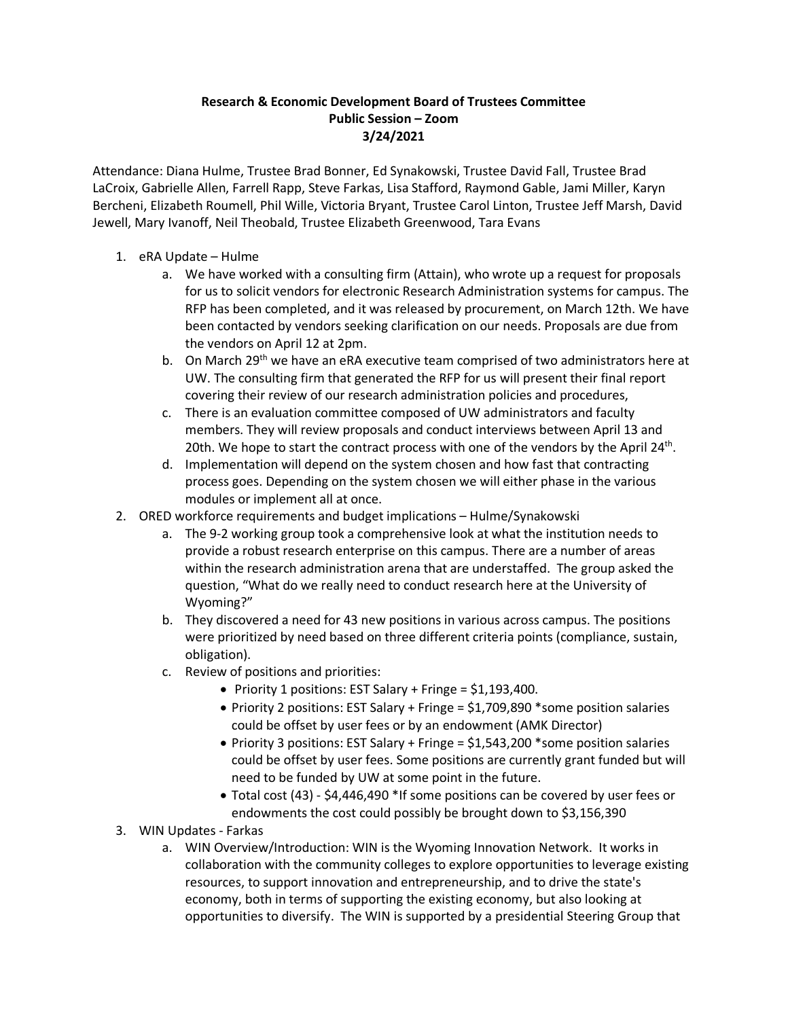## **Research & Economic Development Board of Trustees Committee Public Session – Zoom 3/24/2021**

Attendance: Diana Hulme, Trustee Brad Bonner, Ed Synakowski, Trustee David Fall, Trustee Brad LaCroix, Gabrielle Allen, Farrell Rapp, Steve Farkas, Lisa Stafford, Raymond Gable, Jami Miller, Karyn Bercheni, Elizabeth Roumell, Phil Wille, Victoria Bryant, Trustee Carol Linton, Trustee Jeff Marsh, David Jewell, Mary Ivanoff, Neil Theobald, Trustee Elizabeth Greenwood, Tara Evans

- 1. eRA Update Hulme
	- a. We have worked with a consulting firm (Attain), who wrote up a request for proposals for us to solicit vendors for electronic Research Administration systems for campus. The RFP has been completed, and it was released by procurement, on March 12th. We have been contacted by vendors seeking clarification on our needs. Proposals are due from the vendors on April 12 at 2pm.
	- b. On March 29<sup>th</sup> we have an eRA executive team comprised of two administrators here at UW. The consulting firm that generated the RFP for us will present their final report covering their review of our research administration policies and procedures,
	- c. There is an evaluation committee composed of UW administrators and faculty members. They will review proposals and conduct interviews between April 13 and 20th. We hope to start the contract process with one of the vendors by the April  $24<sup>th</sup>$ .
	- d. Implementation will depend on the system chosen and how fast that contracting process goes. Depending on the system chosen we will either phase in the various modules or implement all at once.
- 2. ORED workforce requirements and budget implications Hulme/Synakowski
	- a. The 9-2 working group took a comprehensive look at what the institution needs to provide a robust research enterprise on this campus. There are a number of areas within the research administration arena that are understaffed. The group asked the question, "What do we really need to conduct research here at the University of Wyoming?"
	- b. They discovered a need for 43 new positions in various across campus. The positions were prioritized by need based on three different criteria points (compliance, sustain, obligation).
	- c. Review of positions and priorities:
		- Priority 1 positions: EST Salary + Fringe = \$1,193,400.
		- Priority 2 positions: EST Salary + Fringe = \$1,709,890 \*some position salaries could be offset by user fees or by an endowment (AMK Director)
		- Priority 3 positions: EST Salary + Fringe = \$1,543,200 \*some position salaries could be offset by user fees. Some positions are currently grant funded but will need to be funded by UW at some point in the future.
		- Total cost (43) \$4,446,490 \*If some positions can be covered by user fees or endowments the cost could possibly be brought down to \$3,156,390
- 3. WIN Updates Farkas
	- a. WIN Overview/Introduction: WIN is the Wyoming Innovation Network. It works in collaboration with the community colleges to explore opportunities to leverage existing resources, to support innovation and entrepreneurship, and to drive the state's economy, both in terms of supporting the existing economy, but also looking at opportunities to diversify. The WIN is supported by a presidential Steering Group that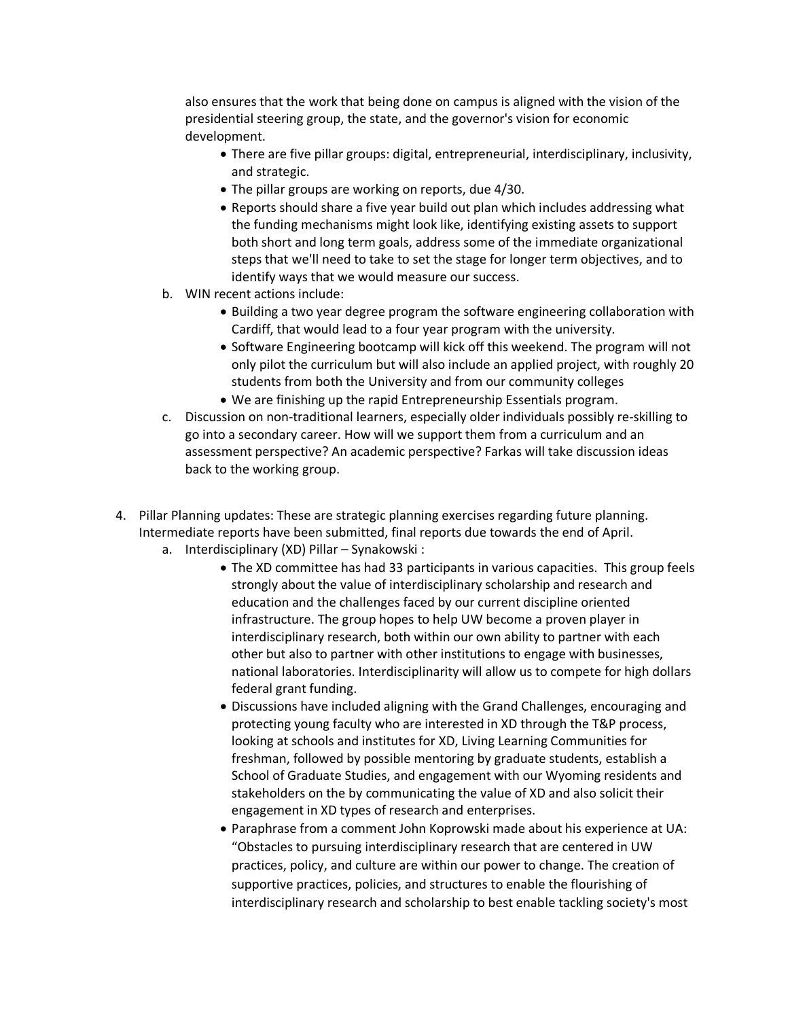also ensures that the work that being done on campus is aligned with the vision of the presidential steering group, the state, and the governor's vision for economic development.

- There are five pillar groups: digital, entrepreneurial, interdisciplinary, inclusivity, and strategic.
- The pillar groups are working on reports, due 4/30.
- Reports should share a five year build out plan which includes addressing what the funding mechanisms might look like, identifying existing assets to support both short and long term goals, address some of the immediate organizational steps that we'll need to take to set the stage for longer term objectives, and to identify ways that we would measure our success.
- b. WIN recent actions include:
	- Building a two year degree program the software engineering collaboration with Cardiff, that would lead to a four year program with the university.
	- Software Engineering bootcamp will kick off this weekend. The program will not only pilot the curriculum but will also include an applied project, with roughly 20 students from both the University and from our community colleges
	- We are finishing up the rapid Entrepreneurship Essentials program.
- c. Discussion on non-traditional learners, especially older individuals possibly re-skilling to go into a secondary career. How will we support them from a curriculum and an assessment perspective? An academic perspective? Farkas will take discussion ideas back to the working group.
- 4. Pillar Planning updates: These are strategic planning exercises regarding future planning. Intermediate reports have been submitted, final reports due towards the end of April.
	- a. Interdisciplinary (XD) Pillar Synakowski :
		- The XD committee has had 33 participants in various capacities. This group feels strongly about the value of interdisciplinary scholarship and research and education and the challenges faced by our current discipline oriented infrastructure. The group hopes to help UW become a proven player in interdisciplinary research, both within our own ability to partner with each other but also to partner with other institutions to engage with businesses, national laboratories. Interdisciplinarity will allow us to compete for high dollars federal grant funding.
		- Discussions have included aligning with the Grand Challenges, encouraging and protecting young faculty who are interested in XD through the T&P process, looking at schools and institutes for XD, Living Learning Communities for freshman, followed by possible mentoring by graduate students, establish a School of Graduate Studies, and engagement with our Wyoming residents and stakeholders on the by communicating the value of XD and also solicit their engagement in XD types of research and enterprises.
		- Paraphrase from a comment John Koprowski made about his experience at UA: "Obstacles to pursuing interdisciplinary research that are centered in UW practices, policy, and culture are within our power to change. The creation of supportive practices, policies, and structures to enable the flourishing of interdisciplinary research and scholarship to best enable tackling society's most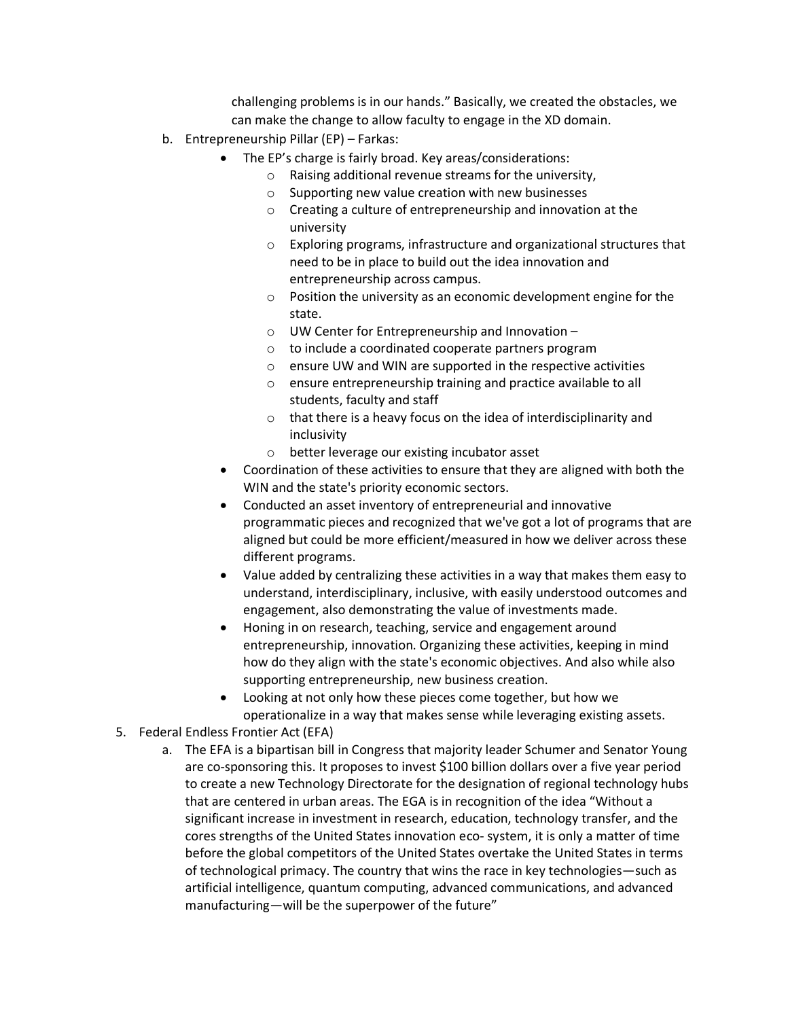challenging problems is in our hands." Basically, we created the obstacles, we can make the change to allow faculty to engage in the XD domain.

- b. Entrepreneurship Pillar (EP) Farkas:
	- The EP's charge is fairly broad. Key areas/considerations:
		- o Raising additional revenue streams for the university,
		- o Supporting new value creation with new businesses
		- o Creating a culture of entrepreneurship and innovation at the university
		- $\circ$  Exploring programs, infrastructure and organizational structures that need to be in place to build out the idea innovation and entrepreneurship across campus.
		- o Position the university as an economic development engine for the state.
		- o UW Center for Entrepreneurship and Innovation –
		- o to include a coordinated cooperate partners program
		- o ensure UW and WIN are supported in the respective activities
		- o ensure entrepreneurship training and practice available to all students, faculty and staff
		- o that there is a heavy focus on the idea of interdisciplinarity and inclusivity
		- o better leverage our existing incubator asset
	- Coordination of these activities to ensure that they are aligned with both the WIN and the state's priority economic sectors.
	- Conducted an asset inventory of entrepreneurial and innovative programmatic pieces and recognized that we've got a lot of programs that are aligned but could be more efficient/measured in how we deliver across these different programs.
	- Value added by centralizing these activities in a way that makes them easy to understand, interdisciplinary, inclusive, with easily understood outcomes and engagement, also demonstrating the value of investments made.
	- Honing in on research, teaching, service and engagement around entrepreneurship, innovation. Organizing these activities, keeping in mind how do they align with the state's economic objectives. And also while also supporting entrepreneurship, new business creation.
	- Looking at not only how these pieces come together, but how we operationalize in a way that makes sense while leveraging existing assets.
- 5. Federal Endless Frontier Act (EFA)
	- a. The EFA is a bipartisan bill in Congress that majority leader Schumer and Senator Young are co-sponsoring this. It proposes to invest \$100 billion dollars over a five year period to create a new Technology Directorate for the designation of regional technology hubs that are centered in urban areas. The EGA is in recognition of the idea "Without a significant increase in investment in research, education, technology transfer, and the cores strengths of the United States innovation eco- system, it is only a matter of time before the global competitors of the United States overtake the United States in terms of technological primacy. The country that wins the race in key technologies—such as artificial intelligence, quantum computing, advanced communications, and advanced manufacturing—will be the superpower of the future"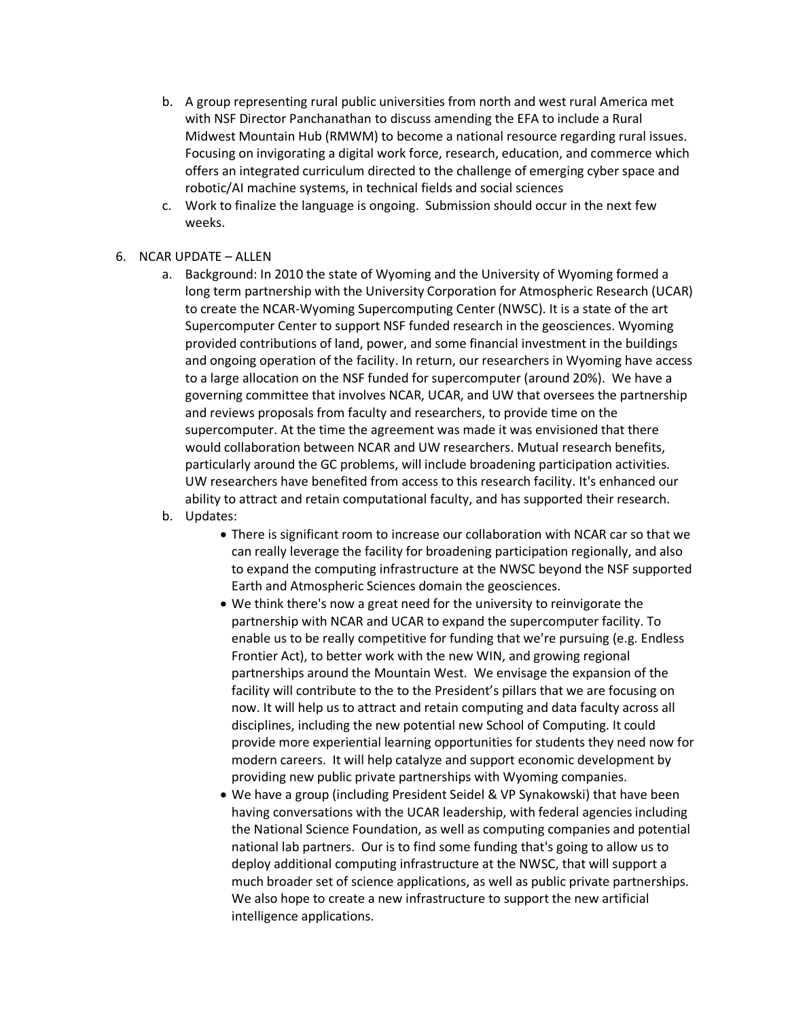- b. A group representing rural public universities from north and west rural America met with NSF Director Panchanathan to discuss amending the EFA to include a Rural Midwest Mountain Hub (RMWM) to become a national resource regarding rural issues. Focusing on invigorating a digital work force, research, education, and commerce which offers an integrated curriculum directed to the challenge of emerging cyber space and robotic/AI machine systems, in technical fields and social sciences
- c. Work to finalize the language is ongoing. Submission should occur in the next few weeks.
- 6. NCAR UPDATE ALLEN
	- a. Background: In 2010 the state of Wyoming and the University of Wyoming formed a long term partnership with the University Corporation for Atmospheric Research (UCAR) to create the NCAR-Wyoming Supercomputing Center (NWSC). It is a state of the art Supercomputer Center to support NSF funded research in the geosciences. Wyoming provided contributions of land, power, and some financial investment in the buildings and ongoing operation of the facility. In return, our researchers in Wyoming have access to a large allocation on the NSF funded for supercomputer (around 20%). We have a governing committee that involves NCAR, UCAR, and UW that oversees the partnership and reviews proposals from faculty and researchers, to provide time on the supercomputer. At the time the agreement was made it was envisioned that there would collaboration between NCAR and UW researchers. Mutual research benefits, particularly around the GC problems, will include broadening participation activities. UW researchers have benefited from access to this research facility. It's enhanced our ability to attract and retain computational faculty, and has supported their research.
	- b. Updates:
		- There is significant room to increase our collaboration with NCAR car so that we can really leverage the facility for broadening participation regionally, and also to expand the computing infrastructure at the NWSC beyond the NSF supported Earth and Atmospheric Sciences domain the geosciences.
		- We think there's now a great need for the university to reinvigorate the partnership with NCAR and UCAR to expand the supercomputer facility. To enable us to be really competitive for funding that we're pursuing (e.g. Endless Frontier Act), to better work with the new WIN, and growing regional partnerships around the Mountain West. We envisage the expansion of the facility will contribute to the to the President's pillars that we are focusing on now. It will help us to attract and retain computing and data faculty across all disciplines, including the new potential new School of Computing. It could provide more experiential learning opportunities for students they need now for modern careers. It will help catalyze and support economic development by providing new public private partnerships with Wyoming companies.
		- We have a group (including President Seidel & VP Synakowski) that have been having conversations with the UCAR leadership, with federal agencies including the National Science Foundation, as well as computing companies and potential national lab partners. Our is to find some funding that's going to allow us to deploy additional computing infrastructure at the NWSC, that will support a much broader set of science applications, as well as public private partnerships. We also hope to create a new infrastructure to support the new artificial intelligence applications.